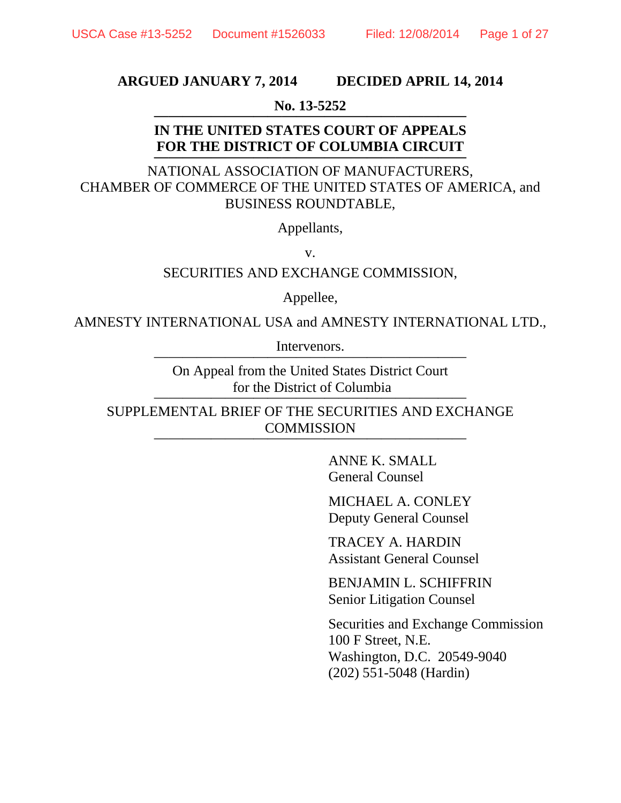#### **ARGUED JANUARY 7, 2014 DECIDED APRIL 14, 2014**

# **No. 13-5252 ——————————————————————**

#### **IN THE UNITED STATES COURT OF APPEALS FOR THE DISTRICT OF COLUMBIA CIRCUIT ——————————————————————**

NATIONAL ASSOCIATION OF MANUFACTURERS, CHAMBER OF COMMERCE OF THE UNITED STATES OF AMERICA, and BUSINESS ROUNDTABLE,

Appellants,

v.

SECURITIES AND EXCHANGE COMMISSION,

Appellee,

AMNESTY INTERNATIONAL USA and AMNESTY INTERNATIONAL LTD.,

Intervenors.

On Appeal from the United States District Court for the District of Columbia

SUPPLEMENTAL BRIEF OF THE SECURITIES AND EXCHANGE COMMISSION

> ANNE K. SMALL General Counsel

MICHAEL A. CONLEY Deputy General Counsel

TRACEY A. HARDIN Assistant General Counsel

BENJAMIN L. SCHIFFRIN Senior Litigation Counsel

Securities and Exchange Commission 100 F Street, N.E. Washington, D.C. 20549-9040 (202) 551-5048 (Hardin)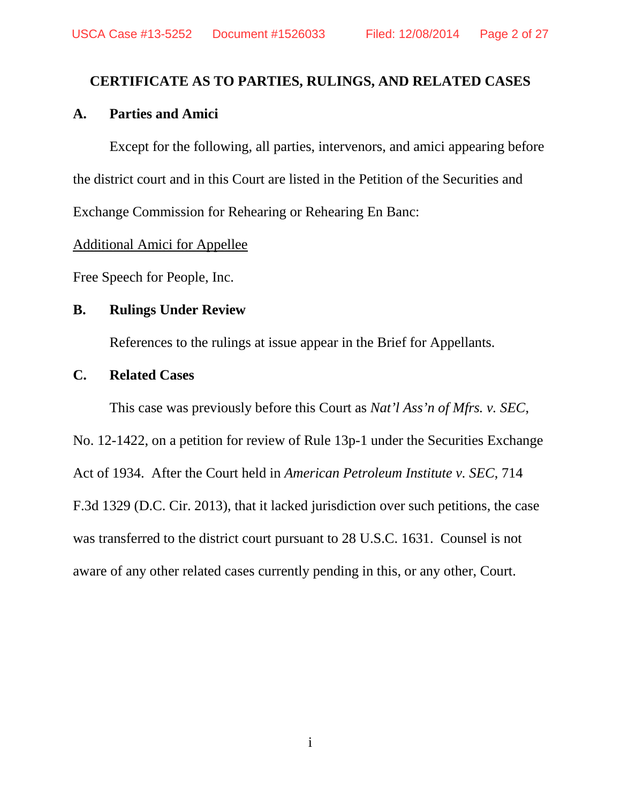## **CERTIFICATE AS TO PARTIES, RULINGS, AND RELATED CASES**

## **A. Parties and Amici**

Except for the following, all parties, intervenors, and amici appearing before the district court and in this Court are listed in the Petition of the Securities and Exchange Commission for Rehearing or Rehearing En Banc:

#### Additional Amici for Appellee

Free Speech for People, Inc.

### **B. Rulings Under Review**

References to the rulings at issue appear in the Brief for Appellants.

### **C. Related Cases**

This case was previously before this Court as *Nat'l Ass'n of Mfrs. v. SEC*,

No. 12-1422, on a petition for review of Rule 13p-1 under the Securities Exchange Act of 1934. After the Court held in *American Petroleum Institute v. SEC*, 714 F.3d 1329 (D.C. Cir. 2013), that it lacked jurisdiction over such petitions, the case was transferred to the district court pursuant to 28 U.S.C. 1631. Counsel is not aware of any other related cases currently pending in this, or any other, Court.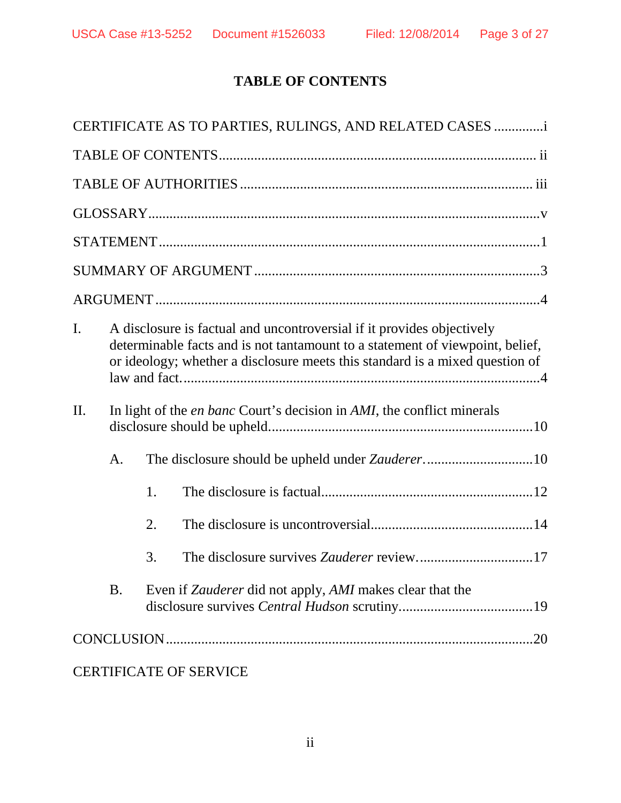## **TABLE OF CONTENTS**

|                                                                                             |                                                                                                                                                                                                                                         |    | CERTIFICATE AS TO PARTIES, RULINGS, AND RELATED CASES                  |     |  |
|---------------------------------------------------------------------------------------------|-----------------------------------------------------------------------------------------------------------------------------------------------------------------------------------------------------------------------------------------|----|------------------------------------------------------------------------|-----|--|
|                                                                                             |                                                                                                                                                                                                                                         |    |                                                                        |     |  |
|                                                                                             |                                                                                                                                                                                                                                         |    |                                                                        |     |  |
|                                                                                             |                                                                                                                                                                                                                                         |    |                                                                        |     |  |
|                                                                                             |                                                                                                                                                                                                                                         |    |                                                                        |     |  |
|                                                                                             |                                                                                                                                                                                                                                         |    |                                                                        |     |  |
|                                                                                             |                                                                                                                                                                                                                                         |    |                                                                        |     |  |
| I.                                                                                          | A disclosure is factual and uncontroversial if it provides objectively<br>determinable facts and is not tantamount to a statement of viewpoint, belief,<br>or ideology; whether a disclosure meets this standard is a mixed question of |    |                                                                        |     |  |
| In light of the <i>en banc</i> Court's decision in <i>AMI</i> , the conflict minerals<br>Π. |                                                                                                                                                                                                                                         |    |                                                                        |     |  |
|                                                                                             | A.                                                                                                                                                                                                                                      |    |                                                                        |     |  |
|                                                                                             |                                                                                                                                                                                                                                         | 1. |                                                                        |     |  |
|                                                                                             |                                                                                                                                                                                                                                         | 2. |                                                                        |     |  |
|                                                                                             |                                                                                                                                                                                                                                         | 3. |                                                                        |     |  |
|                                                                                             | <b>B.</b>                                                                                                                                                                                                                               |    | Even if <i>Zauderer</i> did not apply, <i>AMI</i> makes clear that the |     |  |
|                                                                                             |                                                                                                                                                                                                                                         |    |                                                                        | .20 |  |
|                                                                                             |                                                                                                                                                                                                                                         |    | <b>CERTIFICATE OF SERVICE</b>                                          |     |  |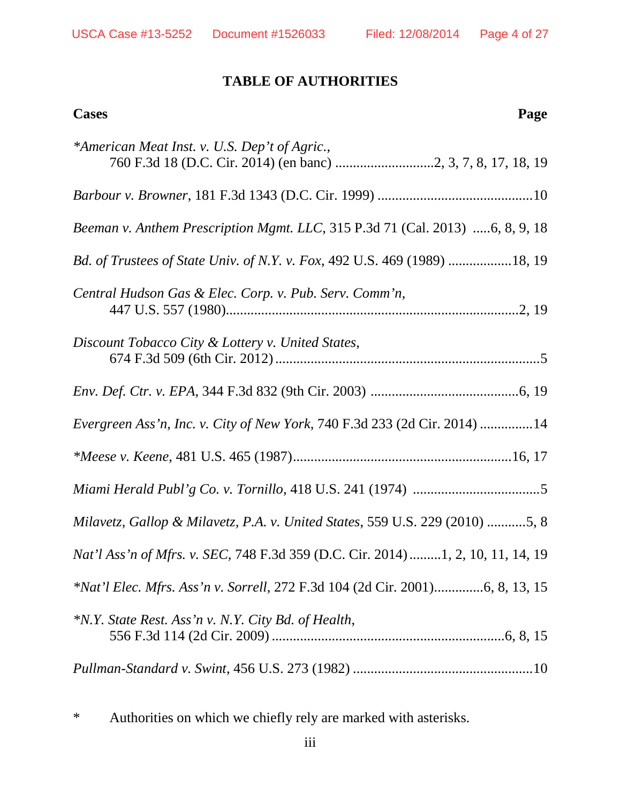## **TABLE OF AUTHORITIES**

| Page<br><b>Cases</b>                                                           |
|--------------------------------------------------------------------------------|
| *American Meat Inst. v. U.S. Dep't of Agric.,                                  |
|                                                                                |
| Beeman v. Anthem Prescription Mgmt. LLC, 315 P.3d 71 (Cal. 2013) 6, 8, 9, 18   |
| Bd. of Trustees of State Univ. of N.Y. v. Fox, 492 U.S. 469 (1989) 18, 19      |
| Central Hudson Gas & Elec. Corp. v. Pub. Serv. Comm'n,                         |
| Discount Tobacco City & Lottery v. United States,                              |
|                                                                                |
| Evergreen Ass'n, Inc. v. City of New York, 740 F.3d 233 (2d Cir. 2014) 14      |
|                                                                                |
|                                                                                |
| Milavetz, Gallop & Milavetz, P.A. v. United States, 559 U.S. 229 (2010) 5, 8   |
| Nat'l Ass'n of Mfrs. v. SEC, 748 F.3d 359 (D.C. Cir. 2014)1, 2, 10, 11, 14, 19 |
| *Nat'l Elec. Mfrs. Ass'n v. Sorrell, 272 F.3d 104 (2d Cir. 2001)6, 8, 13, 15   |
| *N.Y. State Rest. Ass'n v. N.Y. City Bd. of Health,                            |
|                                                                                |

\* Authorities on which we chiefly rely are marked with asterisks.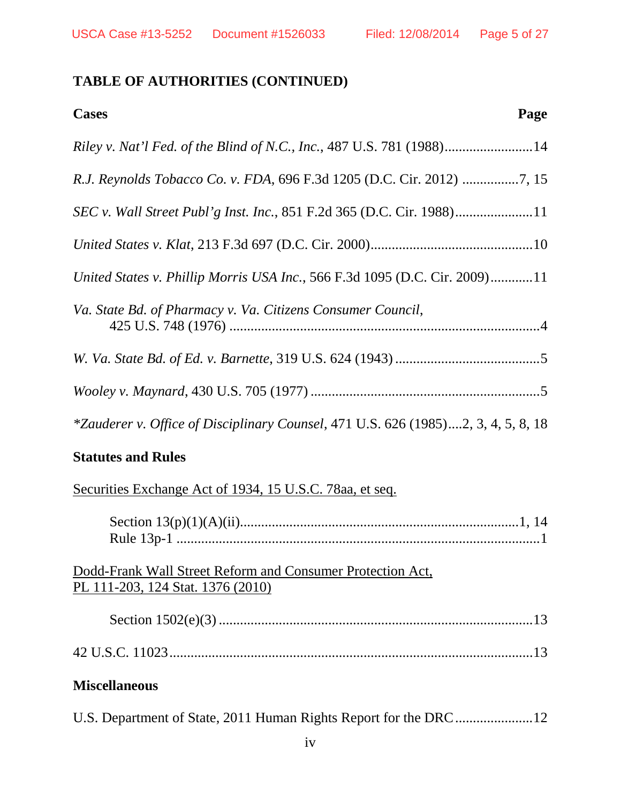## **TABLE OF AUTHORITIES (CONTINUED)**

| <b>Cases</b><br>Page                                                                      |  |
|-------------------------------------------------------------------------------------------|--|
| Riley v. Nat'l Fed. of the Blind of N.C., Inc., 487 U.S. 781 (1988)14                     |  |
| R.J. Reynolds Tobacco Co. v. FDA, 696 F.3d 1205 (D.C. Cir. 2012) 7, 15                    |  |
|                                                                                           |  |
|                                                                                           |  |
| United States v. Phillip Morris USA Inc., 566 F.3d 1095 (D.C. Cir. 2009)11                |  |
| Va. State Bd. of Pharmacy v. Va. Citizens Consumer Council,                               |  |
|                                                                                           |  |
|                                                                                           |  |
| <i>*Zauderer v. Office of Disciplinary Counsel</i> , 471 U.S. 626 (1985)2, 3, 4, 5, 8, 18 |  |

## **Statutes and Rules**

Securities Exchange Act of 1934, 15 U.S.C. 78aa, et seq.

| Dodd-Frank Wall Street Reform and Consumer Protection Act,<br>PL 111-203, 124 Stat. 1376 (2010) |  |
|-------------------------------------------------------------------------------------------------|--|
|                                                                                                 |  |
|                                                                                                 |  |
| <b>Miscellaneous</b>                                                                            |  |
|                                                                                                 |  |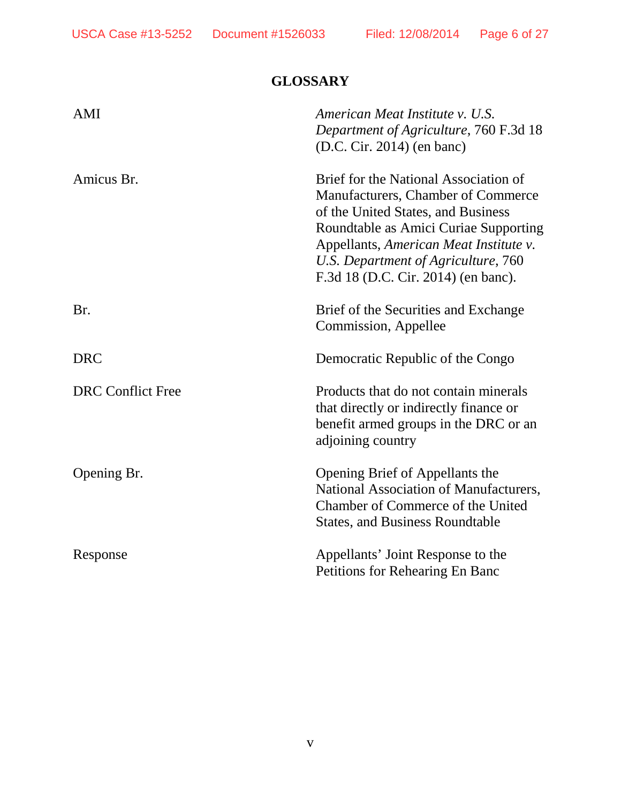## **GLOSSARY**

| AMI                      | American Meat Institute v. U.S.<br>Department of Agriculture, 760 F.3d 18<br>(D.C. Cir. 2014) (en banc)                                                                                                                                                                            |
|--------------------------|------------------------------------------------------------------------------------------------------------------------------------------------------------------------------------------------------------------------------------------------------------------------------------|
| Amicus Br.               | Brief for the National Association of<br>Manufacturers, Chamber of Commerce<br>of the United States, and Business<br>Roundtable as Amici Curiae Supporting<br>Appellants, American Meat Institute v.<br>U.S. Department of Agriculture, 760<br>F.3d 18 (D.C. Cir. 2014) (en banc). |
| Br.                      | Brief of the Securities and Exchange<br>Commission, Appellee                                                                                                                                                                                                                       |
| <b>DRC</b>               | Democratic Republic of the Congo                                                                                                                                                                                                                                                   |
| <b>DRC</b> Conflict Free | Products that do not contain minerals<br>that directly or indirectly finance or<br>benefit armed groups in the DRC or an<br>adjoining country                                                                                                                                      |
| Opening Br.              | Opening Brief of Appellants the<br>National Association of Manufacturers,<br>Chamber of Commerce of the United<br><b>States, and Business Roundtable</b>                                                                                                                           |
| Response                 | Appellants' Joint Response to the<br>Petitions for Rehearing En Banc                                                                                                                                                                                                               |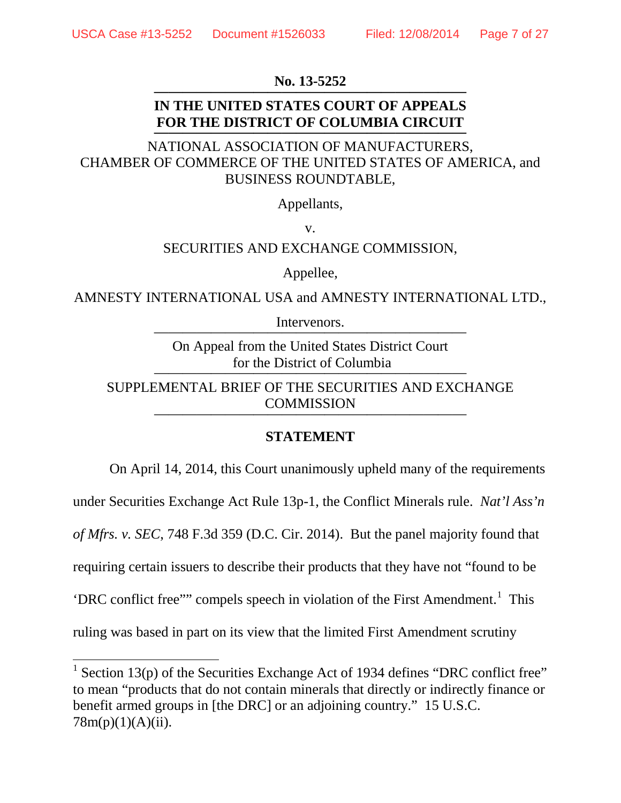#### **No. 13-5252**

#### **IN THE UNITED STATES COURT OF APPEALS FOR THE DISTRICT OF COLUMBIA CIRCUIT ——————————————————————**

## NATIONAL ASSOCIATION OF MANUFACTURERS, CHAMBER OF COMMERCE OF THE UNITED STATES OF AMERICA, and BUSINESS ROUNDTABLE,

Appellants,

v.

#### SECURITIES AND EXCHANGE COMMISSION,

Appellee,

AMNESTY INTERNATIONAL USA and AMNESTY INTERNATIONAL LTD.,

Intervenors.

On Appeal from the United States District Court for the District of Columbia

SUPPLEMENTAL BRIEF OF THE SECURITIES AND EXCHANGE COMMISSION

#### **STATEMENT**

On April 14, 2014, this Court unanimously upheld many of the requirements under Securities Exchange Act Rule 13p-1, the Conflict Minerals rule. *Nat'l Ass'n of Mfrs. v. SEC*, 748 F.3d 359 (D.C. Cir. 2014). But the panel majority found that requiring certain issuers to describe their products that they have not "found to be 'DRC conflict free'" compels speech in violation of the First Amendment.<sup>[1](#page-6-0)</sup> This ruling was based in part on its view that the limited First Amendment scrutiny

<span id="page-6-0"></span><sup>&</sup>lt;sup>1</sup> Section 13(p) of the Securities Exchange Act of 1934 defines "DRC conflict free" to mean "products that do not contain minerals that directly or indirectly finance or benefit armed groups in [the DRC] or an adjoining country." 15 U.S.C.  $78m(p)(1)(A)(ii)$ .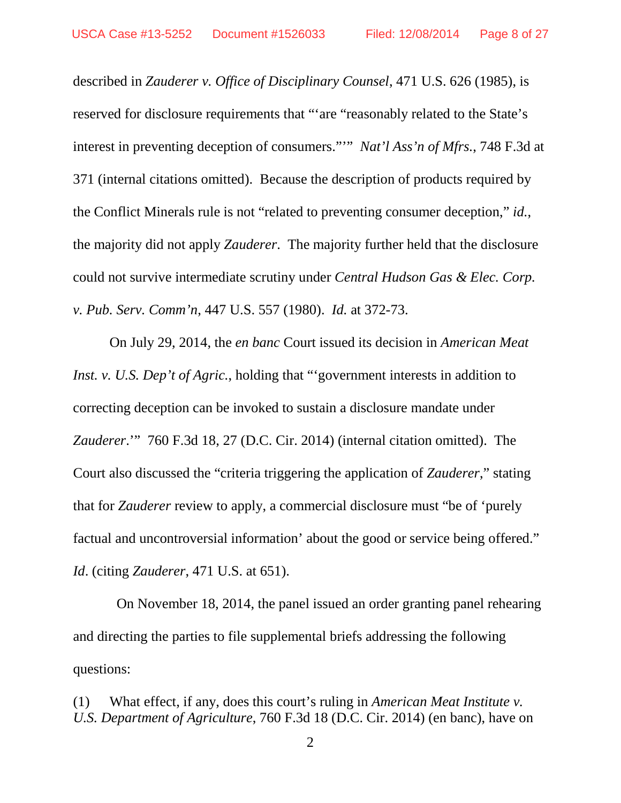described in *Zauderer v. Office of Disciplinary Counsel*, 471 U.S. 626 (1985), is reserved for disclosure requirements that "'are "reasonably related to the State's interest in preventing deception of consumers."'" *Nat'l Ass'n of Mfrs.*, 748 F.3d at 371 (internal citations omitted). Because the description of products required by the Conflict Minerals rule is not "related to preventing consumer deception," *id.*, the majority did not apply *Zauderer*. The majority further held that the disclosure could not survive intermediate scrutiny under *Central Hudson Gas & Elec. Corp. v. Pub. Serv. Comm'n*, 447 U.S. 557 (1980). *Id.* at 372-73.

On July 29, 2014, the *en banc* Court issued its decision in *American Meat Inst. v. U.S. Dep't of Agric.*, holding that "'government interests in addition to correcting deception can be invoked to sustain a disclosure mandate under *Zauderer*.'" 760 F.3d 18, 27 (D.C. Cir. 2014) (internal citation omitted). The Court also discussed the "criteria triggering the application of *Zauderer*," stating that for *Zauderer* review to apply, a commercial disclosure must "be of 'purely factual and uncontroversial information' about the good or service being offered." *Id*. (citing *Zauderer*, 471 U.S. at 651).

 On November 18, 2014, the panel issued an order granting panel rehearing and directing the parties to file supplemental briefs addressing the following questions:

(1) What effect, if any, does this court's ruling in *American Meat Institute v. U.S. Department of Agriculture*, 760 F.3d 18 (D.C. Cir. 2014) (en banc), have on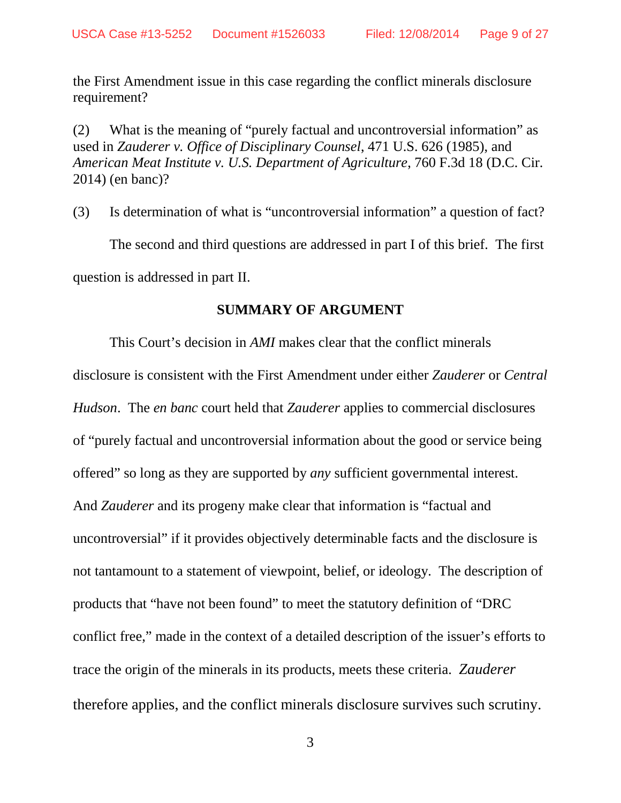the First Amendment issue in this case regarding the conflict minerals disclosure requirement?

(2) What is the meaning of "purely factual and uncontroversial information" as used in *Zauderer v. Office of Disciplinary Counsel*, 471 U.S. 626 (1985), and *American Meat Institute v. U.S. Department of Agriculture*, 760 F.3d 18 (D.C. Cir. 2014) (en banc)?

(3) Is determination of what is "uncontroversial information" a question of fact? The second and third questions are addressed in part I of this brief. The first question is addressed in part II.

#### **SUMMARY OF ARGUMENT**

This Court's decision in *AMI* makes clear that the conflict minerals disclosure is consistent with the First Amendment under either *Zauderer* or *Central Hudson*. The *en banc* court held that *Zauderer* applies to commercial disclosures of "purely factual and uncontroversial information about the good or service being offered" so long as they are supported by *any* sufficient governmental interest. And *Zauderer* and its progeny make clear that information is "factual and uncontroversial" if it provides objectively determinable facts and the disclosure is not tantamount to a statement of viewpoint, belief, or ideology. The description of products that "have not been found" to meet the statutory definition of "DRC conflict free," made in the context of a detailed description of the issuer's efforts to trace the origin of the minerals in its products, meets these criteria. *Zauderer* therefore applies, and the conflict minerals disclosure survives such scrutiny.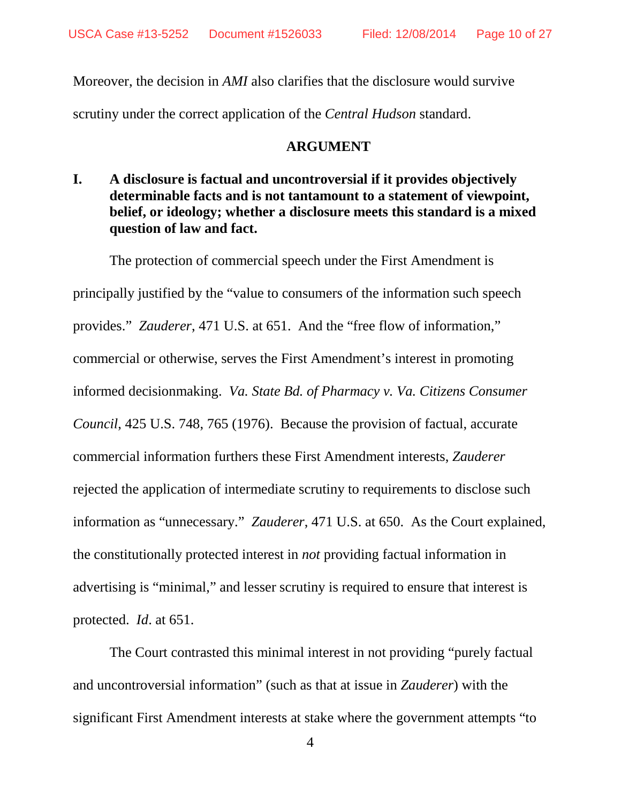Moreover, the decision in *AMI* also clarifies that the disclosure would survive scrutiny under the correct application of the *Central Hudson* standard.

#### **ARGUMENT**

**I. A disclosure is factual and uncontroversial if it provides objectively determinable facts and is not tantamount to a statement of viewpoint, belief, or ideology; whether a disclosure meets this standard is a mixed question of law and fact.** 

The protection of commercial speech under the First Amendment is principally justified by the "value to consumers of the information such speech provides." *Zauderer*, 471 U.S. at 651. And the "free flow of information," commercial or otherwise, serves the First Amendment's interest in promoting informed decisionmaking. *Va. State Bd. of Pharmacy v. Va. Citizens Consumer Council*, 425 U.S. 748, 765 (1976). Because the provision of factual, accurate commercial information furthers these First Amendment interests, *Zauderer* rejected the application of intermediate scrutiny to requirements to disclose such information as "unnecessary." *Zauderer*, 471 U.S. at 650. As the Court explained, the constitutionally protected interest in *not* providing factual information in advertising is "minimal," and lesser scrutiny is required to ensure that interest is protected. *Id*. at 651.

The Court contrasted this minimal interest in not providing "purely factual and uncontroversial information" (such as that at issue in *Zauderer*) with the significant First Amendment interests at stake where the government attempts "to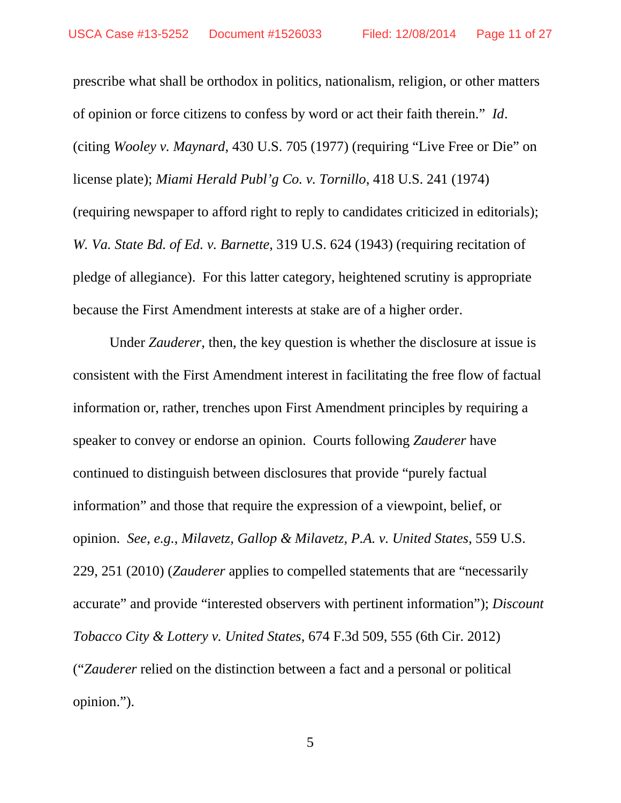prescribe what shall be orthodox in politics, nationalism, religion, or other matters of opinion or force citizens to confess by word or act their faith therein." *Id*. (citing *Wooley v. Maynard*, 430 U.S. 705 (1977) (requiring "Live Free or Die" on license plate); *Miami Herald Publ'g Co. v. Tornillo*, 418 U.S. 241 (1974) (requiring newspaper to afford right to reply to candidates criticized in editorials); *W. Va. State Bd. of Ed. v. Barnette*, 319 U.S. 624 (1943) (requiring recitation of pledge of allegiance). For this latter category, heightened scrutiny is appropriate because the First Amendment interests at stake are of a higher order.

Under *Zauderer*, then, the key question is whether the disclosure at issue is consistent with the First Amendment interest in facilitating the free flow of factual information or, rather, trenches upon First Amendment principles by requiring a speaker to convey or endorse an opinion. Courts following *Zauderer* have continued to distinguish between disclosures that provide "purely factual information" and those that require the expression of a viewpoint, belief, or opinion. *See*, *e.g.*, *Milavetz, Gallop & Milavetz, P.A. v. United States*, 559 U.S. 229, 251 (2010) (*Zauderer* applies to compelled statements that are "necessarily accurate" and provide "interested observers with pertinent information"); *Discount Tobacco City & Lottery v. United States*, 674 F.3d 509, 555 (6th Cir. 2012) ("*Zauderer* relied on the distinction between a fact and a personal or political opinion.").

5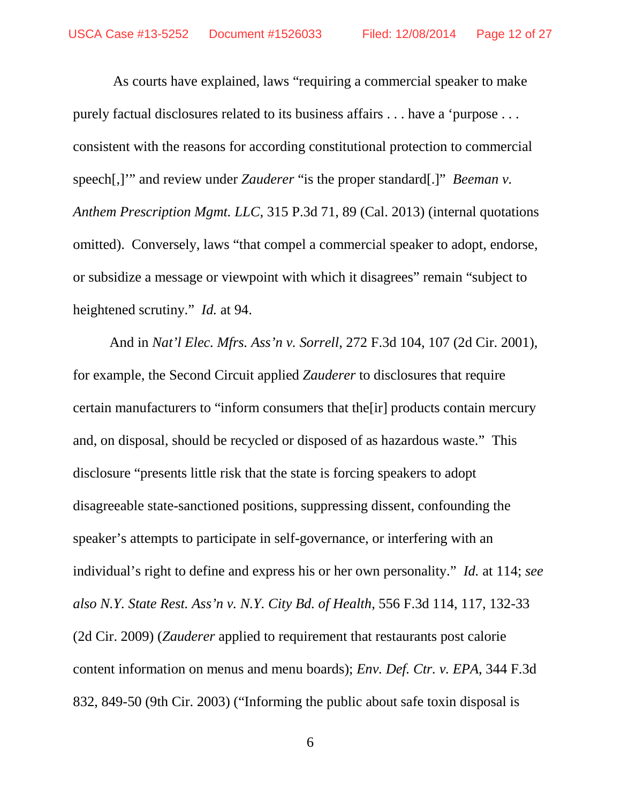As courts have explained, laws "requiring a commercial speaker to make purely factual disclosures related to its business affairs . . . have a 'purpose . . . consistent with the reasons for according constitutional protection to commercial speech[,]'" and review under *Zauderer* "is the proper standard[.]" *Beeman v. Anthem Prescription Mgmt. LLC*, 315 P.3d 71, 89 (Cal. 2013) (internal quotations omitted). Conversely, laws "that compel a commercial speaker to adopt, endorse, or subsidize a message or viewpoint with which it disagrees" remain "subject to heightened scrutiny." *Id.* at 94.

And in *Nat'l Elec. Mfrs. Ass'n v. Sorrell*, 272 F.3d 104, 107 (2d Cir. 2001), for example, the Second Circuit applied *Zauderer* to disclosures that require certain manufacturers to "inform consumers that the[ir] products contain mercury and, on disposal, should be recycled or disposed of as hazardous waste." This disclosure "presents little risk that the state is forcing speakers to adopt disagreeable state-sanctioned positions, suppressing dissent, confounding the speaker's attempts to participate in self-governance, or interfering with an individual's right to define and express his or her own personality." *Id.* at 114; *see also N.Y. State Rest. Ass'n v. N.Y. City Bd. of Health*, 556 F.3d 114, 117, 132-33 (2d Cir. 2009) (*Zauderer* applied to requirement that restaurants post calorie content information on menus and menu boards); *Env. Def. Ctr. v. EPA*, 344 F.3d 832, 849-50 (9th Cir. 2003) ("Informing the public about safe toxin disposal is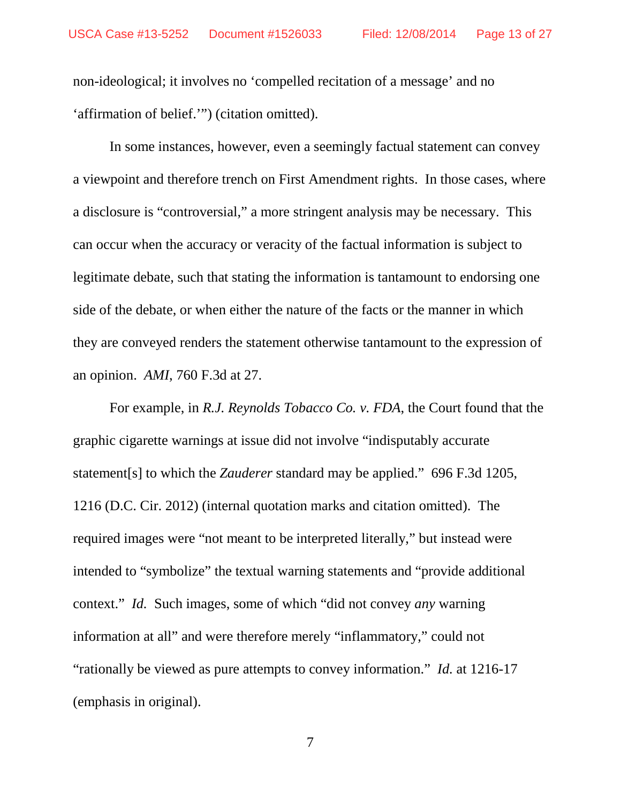non-ideological; it involves no 'compelled recitation of a message' and no 'affirmation of belief.'") (citation omitted).

In some instances, however, even a seemingly factual statement can convey a viewpoint and therefore trench on First Amendment rights. In those cases, where a disclosure is "controversial," a more stringent analysis may be necessary. This can occur when the accuracy or veracity of the factual information is subject to legitimate debate, such that stating the information is tantamount to endorsing one side of the debate, or when either the nature of the facts or the manner in which they are conveyed renders the statement otherwise tantamount to the expression of an opinion. *AMI*, 760 F.3d at 27.

For example, in *R.J. Reynolds Tobacco Co. v. FDA*, the Court found that the graphic cigarette warnings at issue did not involve "indisputably accurate statement[s] to which the *Zauderer* standard may be applied." 696 F.3d 1205, 1216 (D.C. Cir. 2012) (internal quotation marks and citation omitted). The required images were "not meant to be interpreted literally," but instead were intended to "symbolize" the textual warning statements and "provide additional context." *Id.* Such images, some of which "did not convey *any* warning information at all" and were therefore merely "inflammatory," could not "rationally be viewed as pure attempts to convey information." *Id.* at 1216-17 (emphasis in original).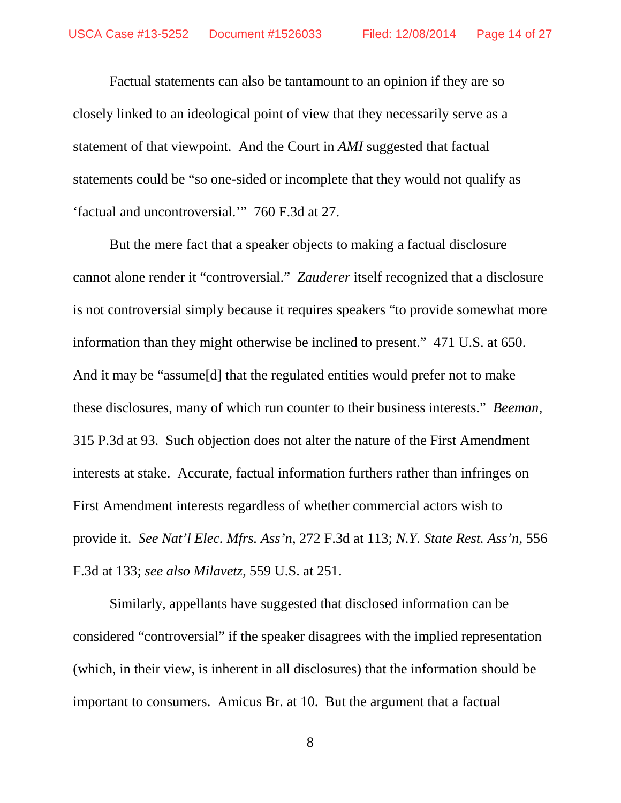Factual statements can also be tantamount to an opinion if they are so closely linked to an ideological point of view that they necessarily serve as a statement of that viewpoint. And the Court in *AMI* suggested that factual statements could be "so one-sided or incomplete that they would not qualify as 'factual and uncontroversial.'" 760 F.3d at 27.

But the mere fact that a speaker objects to making a factual disclosure cannot alone render it "controversial." *Zauderer* itself recognized that a disclosure is not controversial simply because it requires speakers "to provide somewhat more information than they might otherwise be inclined to present." 471 U.S. at 650. And it may be "assume[d] that the regulated entities would prefer not to make these disclosures, many of which run counter to their business interests." *Beeman*, 315 P.3d at 93. Such objection does not alter the nature of the First Amendment interests at stake. Accurate, factual information furthers rather than infringes on First Amendment interests regardless of whether commercial actors wish to provide it. *See Nat'l Elec. Mfrs. Ass'n*, 272 F.3d at 113; *N.Y. State Rest. Ass'n*, 556 F.3d at 133; *see also Milavetz*, 559 U.S. at 251.

Similarly, appellants have suggested that disclosed information can be considered "controversial" if the speaker disagrees with the implied representation (which, in their view, is inherent in all disclosures) that the information should be important to consumers. Amicus Br. at 10. But the argument that a factual

8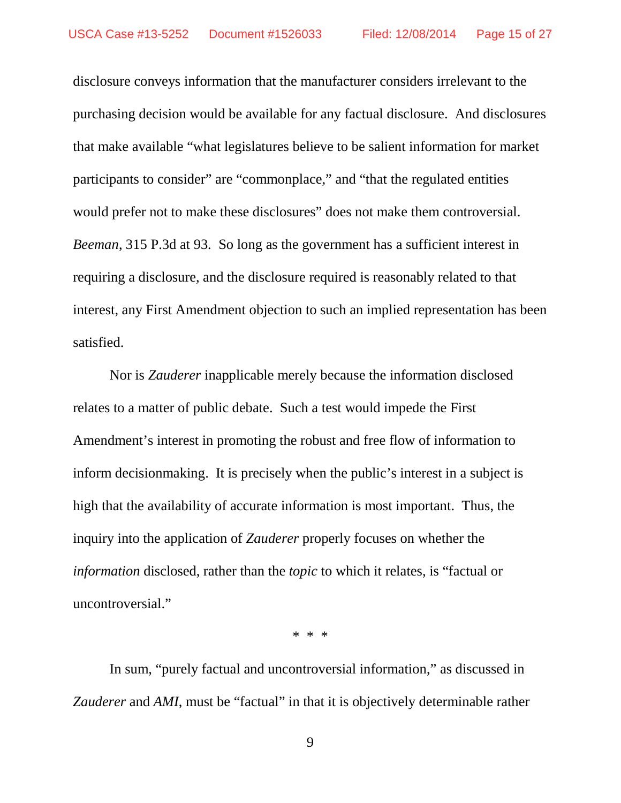disclosure conveys information that the manufacturer considers irrelevant to the purchasing decision would be available for any factual disclosure. And disclosures that make available "what legislatures believe to be salient information for market participants to consider" are "commonplace," and "that the regulated entities would prefer not to make these disclosures" does not make them controversial. *Beeman*, 315 P.3d at 93*.* So long as the government has a sufficient interest in requiring a disclosure, and the disclosure required is reasonably related to that interest, any First Amendment objection to such an implied representation has been satisfied.

Nor is *Zauderer* inapplicable merely because the information disclosed relates to a matter of public debate. Such a test would impede the First Amendment's interest in promoting the robust and free flow of information to inform decisionmaking. It is precisely when the public's interest in a subject is high that the availability of accurate information is most important. Thus, the inquiry into the application of *Zauderer* properly focuses on whether the *information* disclosed, rather than the *topic* to which it relates, is "factual or uncontroversial."

\* \* \*

In sum, "purely factual and uncontroversial information," as discussed in *Zauderer* and *AMI*, must be "factual" in that it is objectively determinable rather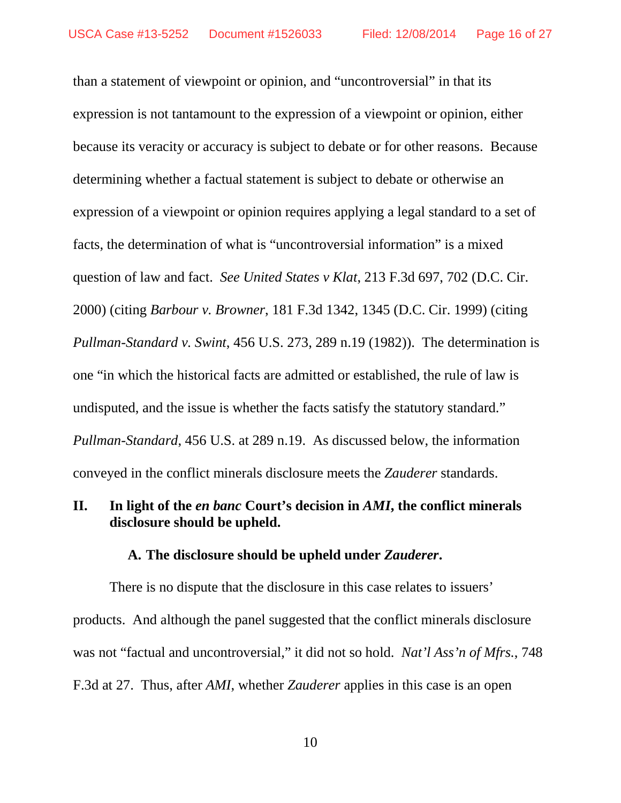than a statement of viewpoint or opinion, and "uncontroversial" in that its expression is not tantamount to the expression of a viewpoint or opinion, either because its veracity or accuracy is subject to debate or for other reasons. Because determining whether a factual statement is subject to debate or otherwise an expression of a viewpoint or opinion requires applying a legal standard to a set of facts, the determination of what is "uncontroversial information" is a mixed question of law and fact. *See United States v Klat*, 213 F.3d 697, 702 (D.C. Cir. 2000) (citing *Barbour v. Browner*, 181 F.3d 1342, 1345 (D.C. Cir. 1999) (citing *Pullman-Standard v. Swint*, 456 U.S. 273, 289 n.19 (1982)). The determination is one "in which the historical facts are admitted or established, the rule of law is undisputed, and the issue is whether the facts satisfy the statutory standard." *Pullman-Standard*, 456 U.S. at 289 n.19. As discussed below, the information conveyed in the conflict minerals disclosure meets the *Zauderer* standards.

## **II. In light of the** *en banc* **Court's decision in** *AMI***, the conflict minerals disclosure should be upheld.**

#### **A. The disclosure should be upheld under** *Zauderer***.**

There is no dispute that the disclosure in this case relates to issuers' products. And although the panel suggested that the conflict minerals disclosure was not "factual and uncontroversial," it did not so hold. *Nat'l Ass'n of Mfrs.*, 748 F.3d at 27. Thus, after *AMI*, whether *Zauderer* applies in this case is an open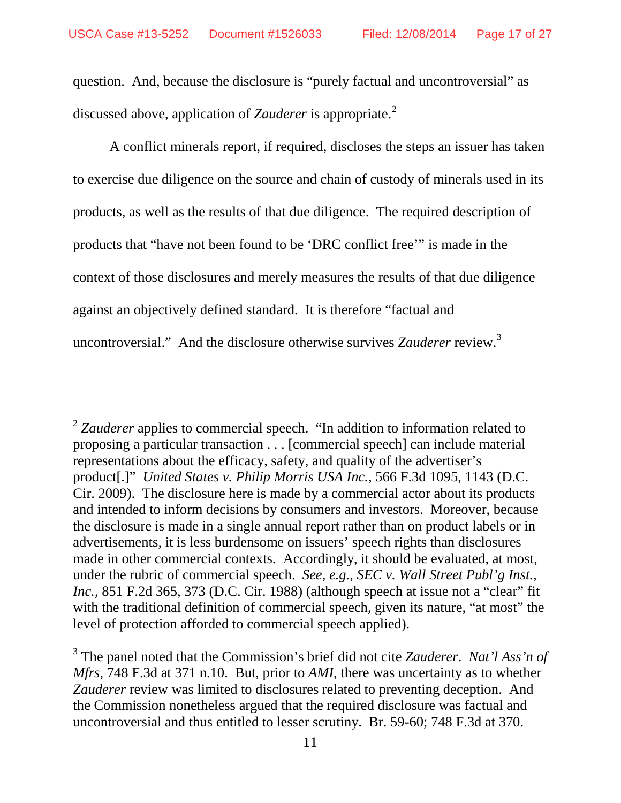question. And, because the disclosure is "purely factual and uncontroversial" as discussed above, application of *Zauderer* is appropriate.<sup>[2](#page-16-0)</sup>

A conflict minerals report, if required, discloses the steps an issuer has taken to exercise due diligence on the source and chain of custody of minerals used in its products, as well as the results of that due diligence. The required description of products that "have not been found to be 'DRC conflict free'" is made in the context of those disclosures and merely measures the results of that due diligence against an objectively defined standard. It is therefore "factual and uncontroversial." And the disclosure otherwise survives *Zauderer* review.<sup>[3](#page-16-1)</sup>

<span id="page-16-0"></span> <sup>2</sup> *Zauderer* applies to commercial speech. "In addition to information related to proposing a particular transaction . . . [commercial speech] can include material representations about the efficacy, safety, and quality of the advertiser's product[.]" *United States v. Philip Morris USA Inc.*, 566 F.3d 1095, 1143 (D.C. Cir. 2009). The disclosure here is made by a commercial actor about its products and intended to inform decisions by consumers and investors. Moreover, because the disclosure is made in a single annual report rather than on product labels or in advertisements, it is less burdensome on issuers' speech rights than disclosures made in other commercial contexts. Accordingly, it should be evaluated, at most, under the rubric of commercial speech. *See*, *e.g.*, *SEC v. Wall Street Publ'g Inst., Inc.*, 851 F.2d 365, 373 (D.C. Cir. 1988) (although speech at issue not a "clear" fit with the traditional definition of commercial speech, given its nature, "at most" the level of protection afforded to commercial speech applied).

<span id="page-16-1"></span><sup>3</sup> The panel noted that the Commission's brief did not cite *Zauderer*. *Nat'l Ass'n of Mfrs*, 748 F.3d at 371 n.10. But, prior to *AMI*, there was uncertainty as to whether *Zauderer* review was limited to disclosures related to preventing deception. And the Commission nonetheless argued that the required disclosure was factual and uncontroversial and thus entitled to lesser scrutiny. Br. 59-60; 748 F.3d at 370.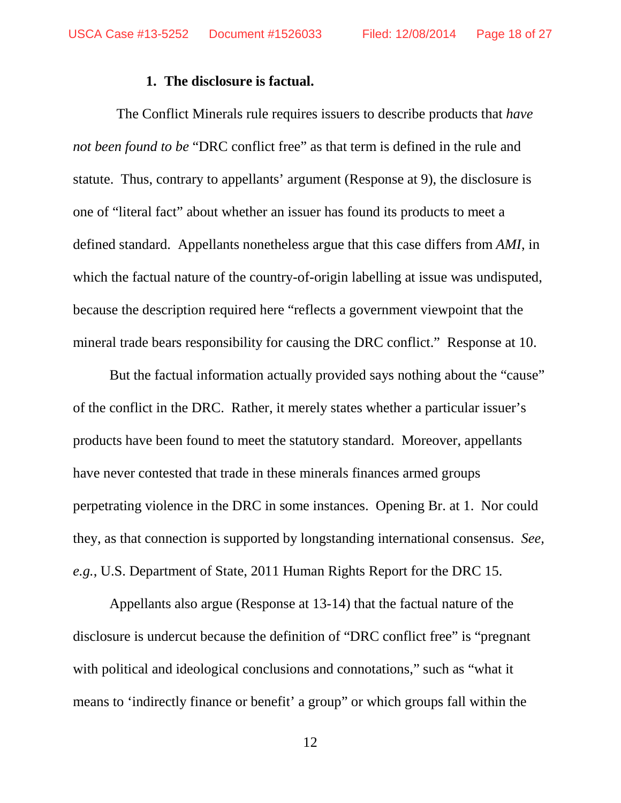#### **1. The disclosure is factual.**

 The Conflict Minerals rule requires issuers to describe products that *have not been found to be* "DRC conflict free" as that term is defined in the rule and statute. Thus, contrary to appellants' argument (Response at 9), the disclosure is one of "literal fact" about whether an issuer has found its products to meet a defined standard. Appellants nonetheless argue that this case differs from *AMI*, in which the factual nature of the country-of-origin labelling at issue was undisputed, because the description required here "reflects a government viewpoint that the mineral trade bears responsibility for causing the DRC conflict." Response at 10.

But the factual information actually provided says nothing about the "cause" of the conflict in the DRC. Rather, it merely states whether a particular issuer's products have been found to meet the statutory standard. Moreover, appellants have never contested that trade in these minerals finances armed groups perpetrating violence in the DRC in some instances. Opening Br. at 1. Nor could they, as that connection is supported by longstanding international consensus. *See, e.g.*, U.S. Department of State, 2011 Human Rights Report for the DRC 15.

Appellants also argue (Response at 13-14) that the factual nature of the disclosure is undercut because the definition of "DRC conflict free" is "pregnant with political and ideological conclusions and connotations," such as "what it means to 'indirectly finance or benefit' a group" or which groups fall within the

12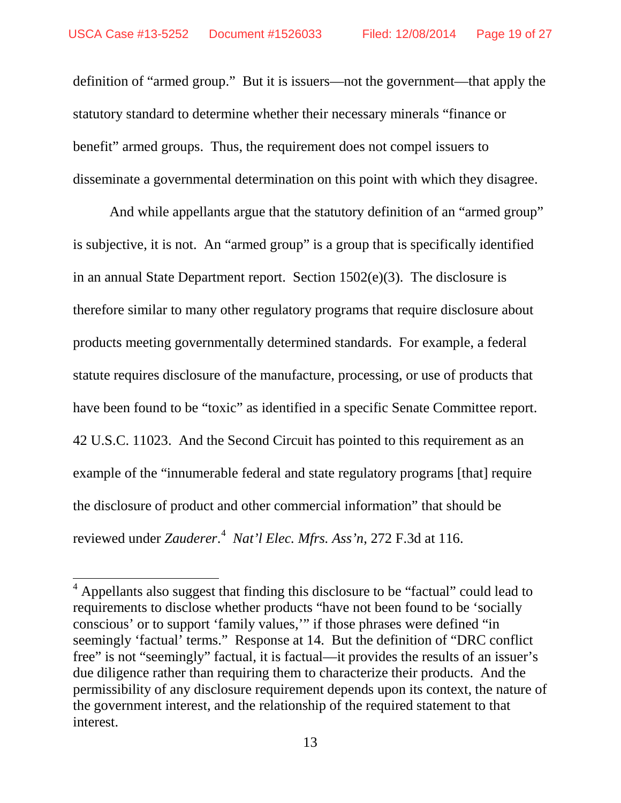definition of "armed group." But it is issuers—not the government—that apply the statutory standard to determine whether their necessary minerals "finance or benefit" armed groups. Thus, the requirement does not compel issuers to disseminate a governmental determination on this point with which they disagree.

And while appellants argue that the statutory definition of an "armed group" is subjective, it is not. An "armed group" is a group that is specifically identified in an annual State Department report. Section 1502(e)(3). The disclosure is therefore similar to many other regulatory programs that require disclosure about products meeting governmentally determined standards. For example, a federal statute requires disclosure of the manufacture, processing, or use of products that have been found to be "toxic" as identified in a specific Senate Committee report. 42 U.S.C. 11023. And the Second Circuit has pointed to this requirement as an example of the "innumerable federal and state regulatory programs [that] require the disclosure of product and other commercial information" that should be reviewed under *Zauderer*. [4](#page-18-0) *Nat'l Elec. Mfrs. Ass'n*, 272 F.3d at 116.

<span id="page-18-0"></span> $<sup>4</sup>$  Appellants also suggest that finding this disclosure to be "factual" could lead to</sup> requirements to disclose whether products "have not been found to be 'socially conscious' or to support 'family values,'" if those phrases were defined "in seemingly 'factual' terms." Response at 14. But the definition of "DRC conflict free" is not "seemingly" factual, it is factual—it provides the results of an issuer's due diligence rather than requiring them to characterize their products. And the permissibility of any disclosure requirement depends upon its context, the nature of the government interest, and the relationship of the required statement to that interest.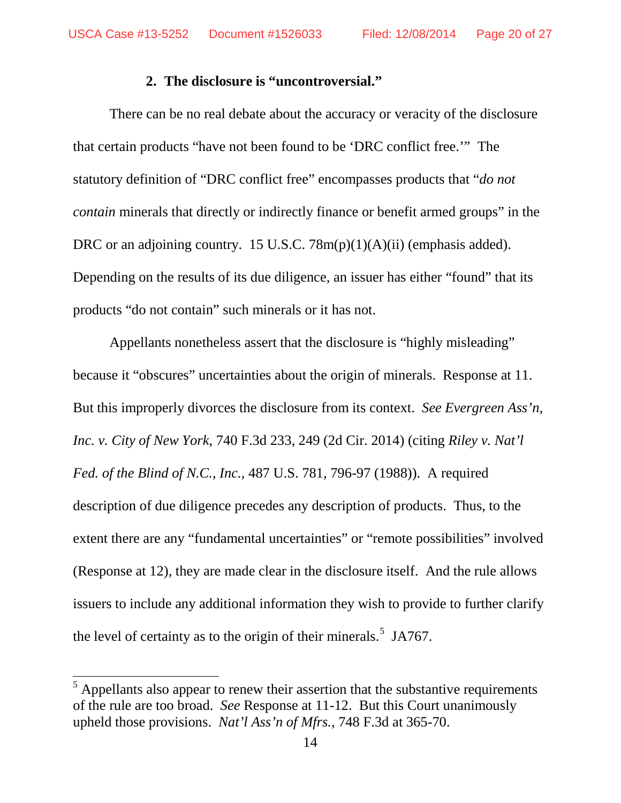#### **2. The disclosure is "uncontroversial."**

There can be no real debate about the accuracy or veracity of the disclosure that certain products "have not been found to be 'DRC conflict free.'" The statutory definition of "DRC conflict free" encompasses products that "*do not contain* minerals that directly or indirectly finance or benefit armed groups" in the DRC or an adjoining country. 15 U.S.C. 78m(p)(1)(A)(ii) (emphasis added). Depending on the results of its due diligence, an issuer has either "found" that its products "do not contain" such minerals or it has not.

Appellants nonetheless assert that the disclosure is "highly misleading" because it "obscures" uncertainties about the origin of minerals. Response at 11. But this improperly divorces the disclosure from its context. *See Evergreen Ass'n, Inc. v. City of New York*, 740 F.3d 233, 249 (2d Cir. 2014) (citing *Riley v. Nat'l Fed. of the Blind of N.C., Inc.*, 487 U.S. 781, 796-97 (1988)). A required description of due diligence precedes any description of products. Thus, to the extent there are any "fundamental uncertainties" or "remote possibilities" involved (Response at 12), they are made clear in the disclosure itself. And the rule allows issuers to include any additional information they wish to provide to further clarify the level of certainty as to the origin of their minerals.<sup>[5](#page-19-0)</sup> JA767.

<span id="page-19-0"></span> $<sup>5</sup>$  Appellants also appear to renew their assertion that the substantive requirements</sup> of the rule are too broad. *See* Response at 11-12. But this Court unanimously upheld those provisions. *Nat'l Ass'n of Mfrs.*, 748 F.3d at 365-70.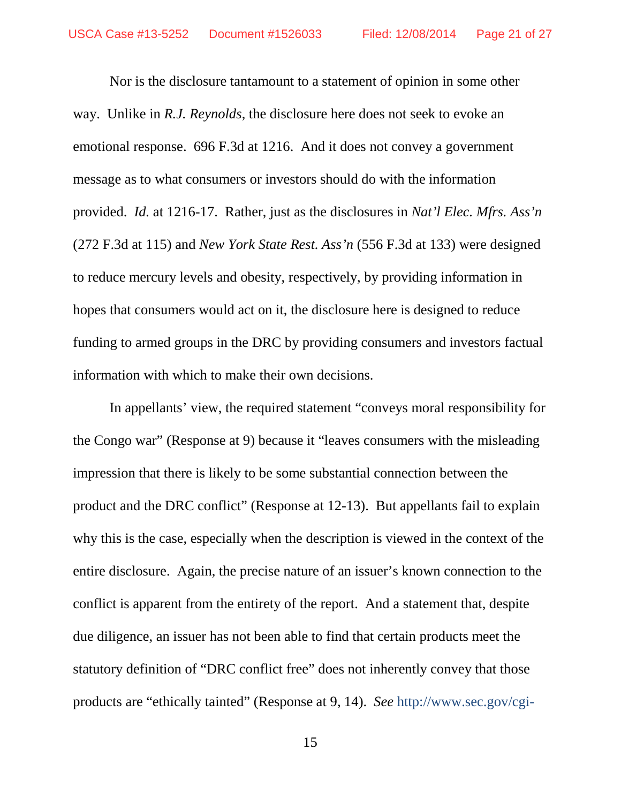Nor is the disclosure tantamount to a statement of opinion in some other way. Unlike in *R.J. Reynolds*, the disclosure here does not seek to evoke an emotional response. 696 F.3d at 1216. And it does not convey a government message as to what consumers or investors should do with the information provided. *Id.* at 1216-17. Rather, just as the disclosures in *Nat'l Elec. Mfrs. Ass'n* (272 F.3d at 115) and *New York State Rest. Ass'n* (556 F.3d at 133) were designed to reduce mercury levels and obesity, respectively, by providing information in hopes that consumers would act on it, the disclosure here is designed to reduce funding to armed groups in the DRC by providing consumers and investors factual information with which to make their own decisions.

In appellants' view, the required statement "conveys moral responsibility for the Congo war" (Response at 9) because it "leaves consumers with the misleading impression that there is likely to be some substantial connection between the product and the DRC conflict" (Response at 12-13). But appellants fail to explain why this is the case, especially when the description is viewed in the context of the entire disclosure. Again, the precise nature of an issuer's known connection to the conflict is apparent from the entirety of the report. And a statement that, despite due diligence, an issuer has not been able to find that certain products meet the statutory definition of "DRC conflict free" does not inherently convey that those products are "ethically tainted" (Response at 9, 14). *See* http://www.sec.gov/cgi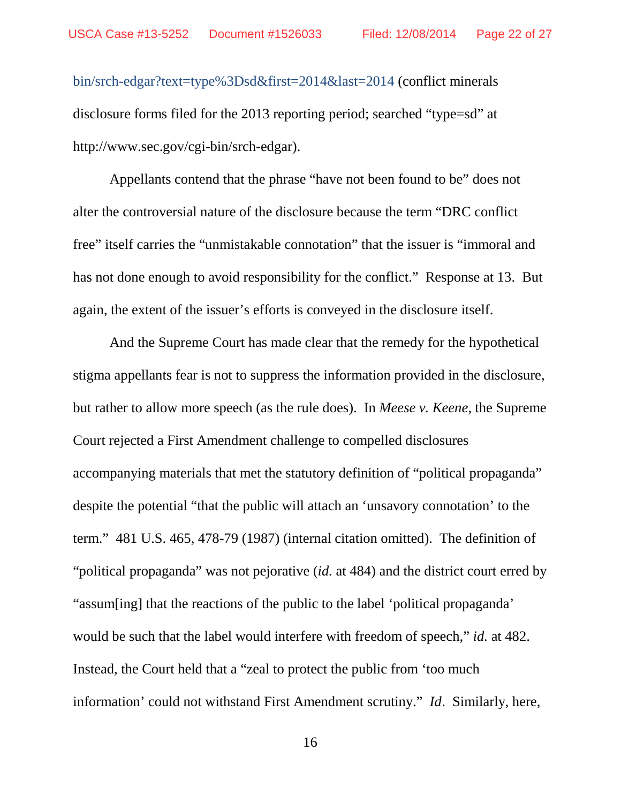bin/srch-edgar?text=type%3Dsd&first=2014&last=2014 (conflict minerals disclosure forms filed for the 2013 reporting period; searched "type=sd" at http://www.sec.gov/cgi-bin/srch-edgar).

Appellants contend that the phrase "have not been found to be" does not alter the controversial nature of the disclosure because the term "DRC conflict free" itself carries the "unmistakable connotation" that the issuer is "immoral and has not done enough to avoid responsibility for the conflict." Response at 13. But again, the extent of the issuer's efforts is conveyed in the disclosure itself.

And the Supreme Court has made clear that the remedy for the hypothetical stigma appellants fear is not to suppress the information provided in the disclosure, but rather to allow more speech (as the rule does). In *Meese v. Keene*, the Supreme Court rejected a First Amendment challenge to compelled disclosures accompanying materials that met the statutory definition of "political propaganda" despite the potential "that the public will attach an 'unsavory connotation' to the term." 481 U.S. 465, 478-79 (1987) (internal citation omitted). The definition of "political propaganda" was not pejorative (*id.* at 484) and the district court erred by "assum[ing] that the reactions of the public to the label 'political propaganda' would be such that the label would interfere with freedom of speech," *id.* at 482. Instead, the Court held that a "zeal to protect the public from 'too much information' could not withstand First Amendment scrutiny." *Id*. Similarly, here,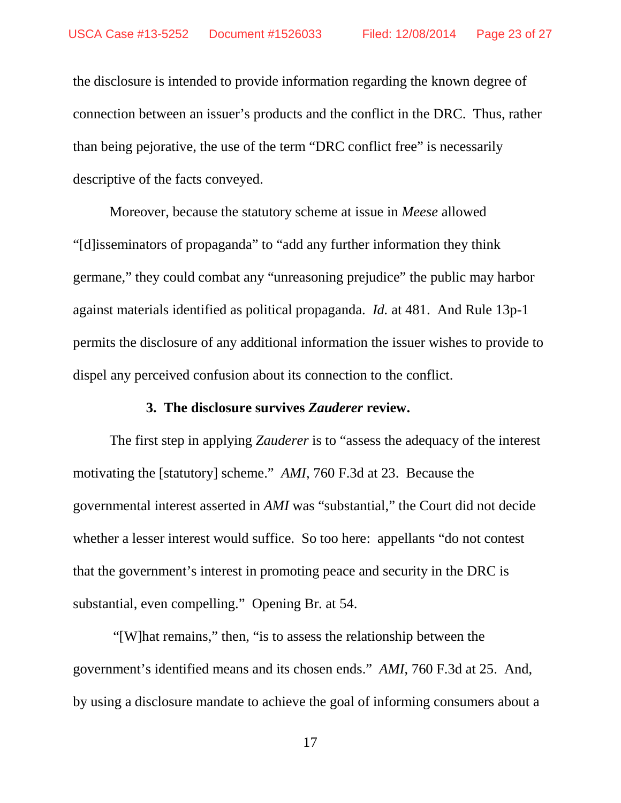the disclosure is intended to provide information regarding the known degree of connection between an issuer's products and the conflict in the DRC. Thus, rather than being pejorative, the use of the term "DRC conflict free" is necessarily descriptive of the facts conveyed.

Moreover, because the statutory scheme at issue in *Meese* allowed "[d]isseminators of propaganda" to "add any further information they think germane," they could combat any "unreasoning prejudice" the public may harbor against materials identified as political propaganda. *Id.* at 481. And Rule 13p-1 permits the disclosure of any additional information the issuer wishes to provide to dispel any perceived confusion about its connection to the conflict.

#### **3. The disclosure survives** *Zauderer* **review.**

The first step in applying *Zauderer* is to "assess the adequacy of the interest motivating the [statutory] scheme."*AMI*, 760 F.3d at 23. Because the governmental interest asserted in *AMI* was "substantial," the Court did not decide whether a lesser interest would suffice. So too here: appellants "do not contest that the government's interest in promoting peace and security in the DRC is substantial, even compelling." Opening Br. at 54.

"[W]hat remains," then, "is to assess the relationship between the government's identified means and its chosen ends." *AMI*, 760 F.3d at 25. And, by using a disclosure mandate to achieve the goal of informing consumers about a

17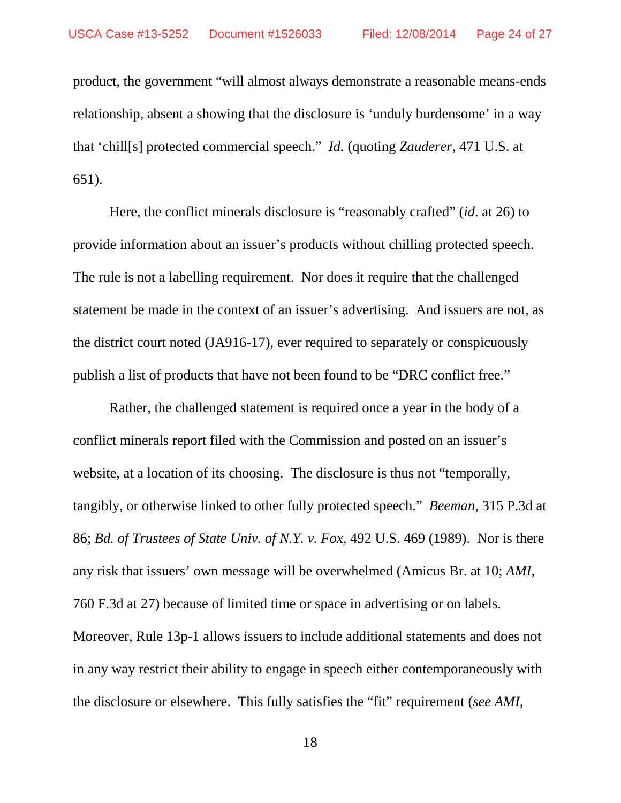product, the government "will almost always demonstrate a reasonable means-ends relationship, absent a showing that the disclosure is 'unduly burdensome' in a way that 'chill[s] protected commercial speech." *Id.* (quoting *Zauderer*, 471 U.S. at 651).

Here, the conflict minerals disclosure is "reasonably crafted" (*id*. at 26) to provide information about an issuer's products without chilling protected speech. The rule is not a labelling requirement. Nor does it require that the challenged statement be made in the context of an issuer's advertising. And issuers are not, as the district court noted (JA916-17), ever required to separately or conspicuously publish a list of products that have not been found to be "DRC conflict free."

Rather, the challenged statement is required once a year in the body of a conflict minerals report filed with the Commission and posted on an issuer's website, at a location of its choosing. The disclosure is thus not "temporally, tangibly, or otherwise linked to other fully protected speech." *Beeman*, 315 P.3d at 86; *Bd. of Trustees of State Univ. of N.Y. v. Fox*, 492 U.S. 469 (1989). Nor is there any risk that issuers' own message will be overwhelmed (Amicus Br. at 10; *AMI*, 760 F.3d at 27) because of limited time or space in advertising or on labels. Moreover, Rule 13p-1 allows issuers to include additional statements and does not in any way restrict their ability to engage in speech either contemporaneously with the disclosure or elsewhere. This fully satisfies the "fit" requirement (*see AMI*,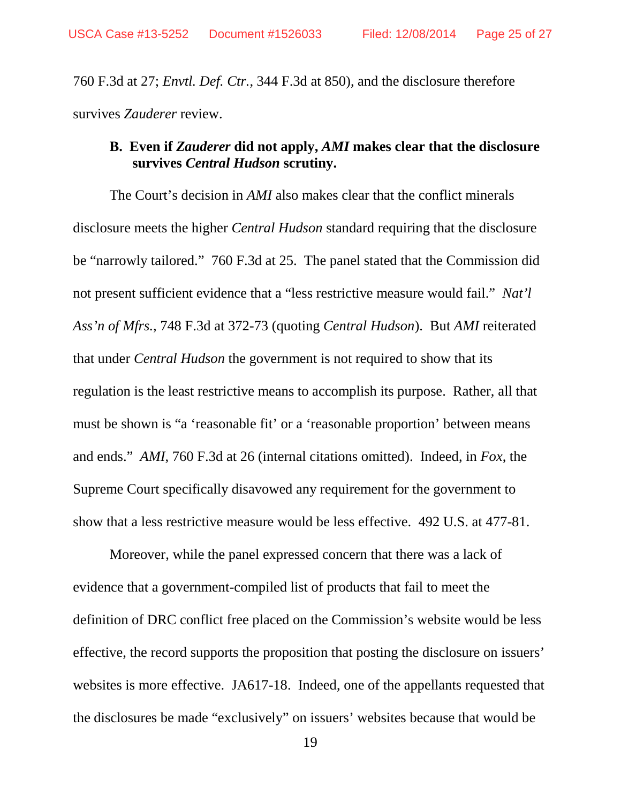760 F.3d at 27; *Envtl. Def. Ctr.*, 344 F.3d at 850), and the disclosure therefore survives *Zauderer* review.

## **B. Even if** *Zauderer* **did not apply,** *AMI* **makes clear that the disclosure survives** *Central Hudson* **scrutiny.**

The Court's decision in *AMI* also makes clear that the conflict minerals disclosure meets the higher *Central Hudson* standard requiring that the disclosure be "narrowly tailored." 760 F.3d at 25. The panel stated that the Commission did not present sufficient evidence that a "less restrictive measure would fail." *Nat'l Ass'n of Mfrs.*, 748 F.3d at 372-73 (quoting *Central Hudson*). But *AMI* reiterated that under *Central Hudson* the government is not required to show that its regulation is the least restrictive means to accomplish its purpose. Rather, all that must be shown is "a 'reasonable fit' or a 'reasonable proportion' between means and ends." *AMI*, 760 F.3d at 26 (internal citations omitted). Indeed, in *Fox*, the Supreme Court specifically disavowed any requirement for the government to show that a less restrictive measure would be less effective. 492 U.S. at 477-81.

Moreover, while the panel expressed concern that there was a lack of evidence that a government-compiled list of products that fail to meet the definition of DRC conflict free placed on the Commission's website would be less effective, the record supports the proposition that posting the disclosure on issuers' websites is more effective. JA617-18. Indeed, one of the appellants requested that the disclosures be made "exclusively" on issuers' websites because that would be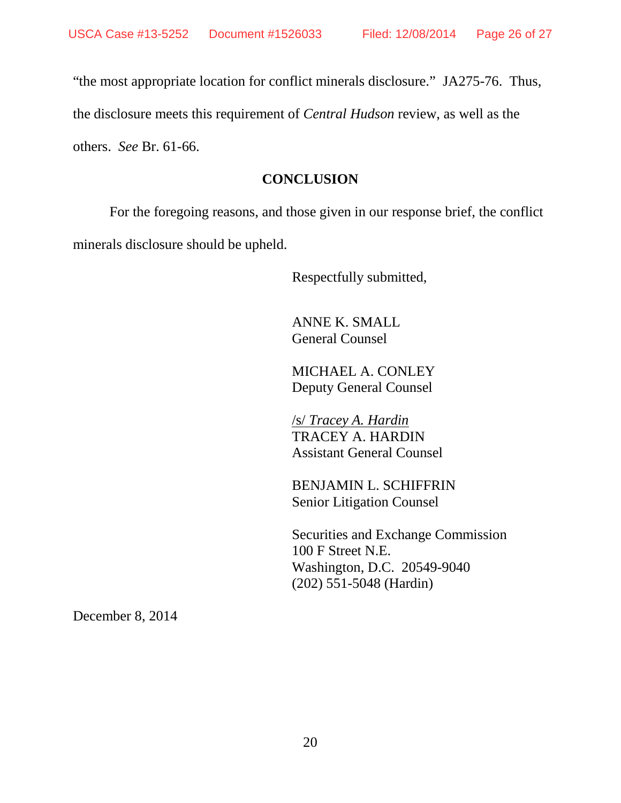"the most appropriate location for conflict minerals disclosure." JA275-76. Thus,

the disclosure meets this requirement of *Central Hudson* review, as well as the

others. *See* Br. 61-66.

#### **CONCLUSION**

For the foregoing reasons, and those given in our response brief, the conflict minerals disclosure should be upheld.

Respectfully submitted,

ANNE K. SMALL General Counsel

MICHAEL A. CONLEY Deputy General Counsel

/s/ *Tracey A. Hardin*  TRACEY A. HARDIN Assistant General Counsel

BENJAMIN L. SCHIFFRIN Senior Litigation Counsel

Securities and Exchange Commission 100 F Street N.E. Washington, D.C. 20549-9040 (202) 551-5048 (Hardin)

December 8, 2014